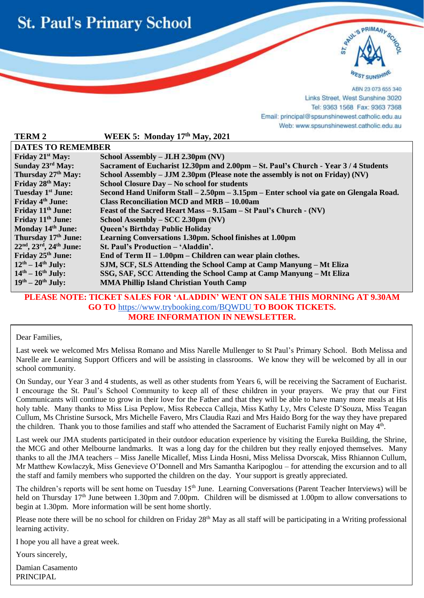



ABN 23 073 655 340 Links Street, West Sunshine 3020 Tel: 9363 1568 Fax: 9363 7368 Email: principal@spsunshinewest.catholic.edu.au Web: www.spsunshinewest.catholic.edu.au

| WEEK 5: Monday 17th May, 2021                                                         |  |
|---------------------------------------------------------------------------------------|--|
| <b>DATES TO REMEMBER</b>                                                              |  |
| School Assembly – JLH 2.30pm (NV)                                                     |  |
| Sacrament of Eucharist 12.30pm and 2.00pm – St. Paul's Church - Year 3/4 Students     |  |
| School Assembly – JJM 2.30pm (Please note the assembly is not on Friday) (NV)         |  |
| School Closure Day - No school for students                                           |  |
| Second Hand Uniform Stall – 2.50pm – 3.15pm – Enter school via gate on Glengala Road. |  |
| Class Reconciliation MCD and MRB – 10.00am                                            |  |
| Feast of the Sacred Heart Mass - 9.15am - St Paul's Church - (NV)                     |  |
| School Assembly – SCC 2.30pm (NV)                                                     |  |
| <b>Queen's Birthday Public Holiday</b>                                                |  |
| Learning Conversations 1.30pm. School finishes at 1.00pm                              |  |
| St. Paul's Production - 'Aladdin'.                                                    |  |
| End of Term II $-1.00$ pm $-$ Children can wear plain clothes.                        |  |
| SJM, SCF, SLS Attending the School Camp at Camp Manyung – Mt Eliza                    |  |
| SSG, SAF, SCC Attending the School Camp at Camp Manyung – Mt Eliza                    |  |
| <b>MMA Phillip Island Christian Youth Camp</b>                                        |  |
|                                                                                       |  |

### **PLEASE NOTE: TICKET SALES FOR 'ALADDIN' WENT ON SALE THIS MORNING AT 9.30AM GO TO** <https://www.trybooking.com/BQWDU> **TO BOOK TICKETS. MORE INFORMATION IN NEWSLETTER.**

Dear Families,

i

Last week we welcomed Mrs Melissa Romano and Miss Narelle Mullenger to St Paul's Primary School. Both Melissa and Narelle are Learning Support Officers and will be assisting in classrooms. We know they will be welcomed by all in our school community.

On Sunday, our Year 3 and 4 students, as well as other students from Years 6, will be receiving the Sacrament of Eucharist. I encourage the St. Paul's School Community to keep all of these children in your prayers. We pray that our First Communicants will continue to grow in their love for the Father and that they will be able to have many more meals at His holy table. Many thanks to Miss Lisa Peplow, Miss Rebecca Calleja, Miss Kathy Ly, Mrs Celeste D'Souza, Miss Teagan Cullum, Ms Christine Sursock, Mrs Michelle Favero, Mrs Claudia Razi and Mrs Haido Borg for the way they have prepared the children. Thank you to those families and staff who attended the Sacrament of Eucharist Family night on May 4<sup>th</sup>.

Last week our JMA students participated in their outdoor education experience by visiting the Eureka Building, the Shrine, the MCG and other Melbourne landmarks. It was a long day for the children but they really enjoyed themselves. Many thanks to all the JMA teachers – Miss Janelle Micallef, Miss Linda Hosni, Miss Melissa Dvorscak, Miss Rhiannon Cullum, Mr Matthew Kowlaczyk, Miss Genevieve O'Donnell and Mrs Samantha Karipoglou – for attending the excursion and to all the staff and family members who supported the children on the day. Your support is greatly appreciated.

The children's reports will be sent home on Tuesday 15<sup>th</sup> June. Learning Conversations (Parent Teacher Interviews) will be held on Thursday 17<sup>th</sup> June between 1.30pm and 7.00pm. Children will be dismissed at 1.00pm to allow conversations to begin at 1.30pm. More information will be sent home shortly.

Please note there will be no school for children on Friday 28<sup>th</sup> May as all staff will be participating in a Writing professional learning activity.

I hope you all have a great week.

Yours sincerely,

Damian Casamento PRINCIPAL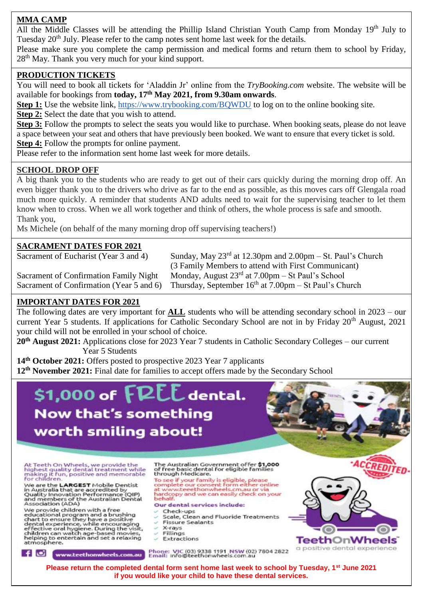## **MMA CAMP**

All the Middle Classes will be attending the Phillip Island Christian Youth Camp from Monday 19<sup>th</sup> July to Tuesday 20<sup>th</sup> July. Please refer to the camp notes sent home last week for the details.

Please make sure you complete the camp permission and medical forms and return them to school by Friday, 28<sup>th</sup> May. Thank you very much for your kind support.

## **PRODUCTION TICKETS**

You will need to book all tickets for 'Aladdin Jr' online from the *TryBooking.com* website. The website will be available for bookings from **today, 17th May 2021, from 9.30am onwards**.

**Step 1:** Use the website link, <https://www.trybooking.com/BQWDU> to log on to the online booking site.

**Step 2:** Select the date that you wish to attend.

**Step 3:** Follow the prompts to select the seats you would like to purchase. When booking seats, please do not leave a space between your seat and others that have previously been booked. We want to ensure that every ticket is sold. **Step 4:** Follow the prompts for online payment.

Please refer to the information sent home last week for more details.

### **SCHOOL DROP OFF**

A big thank you to the students who are ready to get out of their cars quickly during the morning drop off. An even bigger thank you to the drivers who drive as far to the end as possible, as this moves cars off Glengala road much more quickly. A reminder that students AND adults need to wait for the supervising teacher to let them know when to cross. When we all work together and think of others, the whole process is safe and smooth. Thank you,

Ms Michele (on behalf of the many morning drop off supervising teachers!)

## **SACRAMENT DATES FOR 2021**

Sacrament of Eucharist (Year 3 and 4)

Sunday, May  $23<sup>rd</sup>$  at 12.30pm and 2.00pm – St. Paul's Church (3 Family Members to attend with First Communicant) Sacrament of Confirmation Family Night Monday, August  $23<sup>rd</sup>$  at  $7.00 \text{pm} - \text{St Paul's School}$ Sacrament of Confirmation (Year 5 and 6) Thursday, September  $16<sup>th</sup>$  at 7.00pm – St Paul's Church

## **IMPORTANT DATES FOR 2021**

The following dates are very important for **ALL** students who will be attending secondary school in 2023 – our current Year 5 students. If applications for Catholic Secondary School are not in by Friday 20<sup>th</sup> August, 2021 your child will not be enrolled in your school of choice.

**20th August 2021:** Applications close for 2023 Year 7 students in Catholic Secondary Colleges – our current Year 5 Students

**14th October 2021:** Offers posted to prospective 2023 Year 7 applicants

**12th November 2021:** Final date for families to accept offers made by the Secondary School

# \$1,000 of  $FPEL$  dental. **Now that's something** worth smiling about!

At Teeth On Wheels, we provide the<br>highest quality dental treatment while<br>making it fun, positive and memorable<br>for children.

We are the **LARGEST** Mobile Dentist<br>in Australia that are accredited by<br>Quality Innovation Performance (QIP)<br>and members of the Australian Dental<br>Association (ADA)

Association (ADA)<br>
We provide children with a free<br>
educational program and a brushing<br>
chart to ensure they have a positive<br>
dental experience, while encouraging<br>
effective oral hygiene. During the visit,<br>
children can wa

### The Australian Government offer \$1,000<br>of free basic dental for eligible families through Medicare.

through Medicare.<br>To see if your family is eligible, please<br>complete our consent form either online<br>at www.teeethonwheels.cm.au or via<br>hardcopy and we can easily check on your<br>behalf.

#### Our dental services include:

- Check-ups
- Scale, Clean and Fluoride Treatments **Fissure Sealants**
- X-rays
- Fillings ×
- Extractions



f **C** www.teethonwheels.com.au

Phone: VIC (03) 9338 1191 NSW (02) 7804 2822<br>Email: info@teethonwheels.com.au

a positive dental experience

**Please return the completed dental form sent home last week to school by Tuesday, 1st June 2021 if you would like your child to have these dental services.**